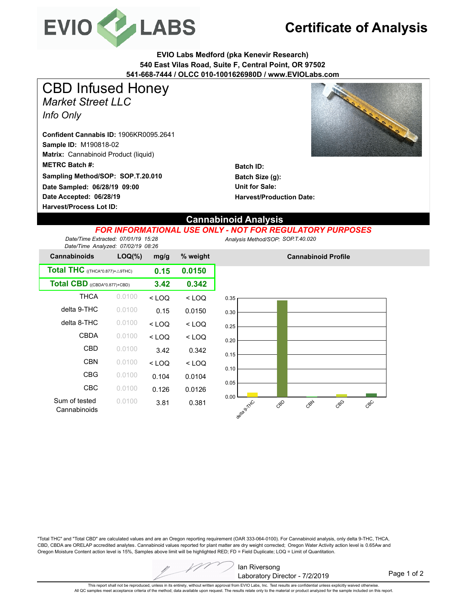

# **Certificate of Analysis**

**EVIO Labs Medford (pka Kenevir Research) 540 East Vilas Road, Suite F, Central Point, OR 97502 541-668-7444 / OLCC 010-1001626980D / www.EVIOLabs.com**

*Market Street LLC Info Only* CBD Infused Honey

**Sample ID:** M190818-02 **Matrix:** Cannabinoid Product (liquid) **Date Accepted: 06/28/19 METRC Batch #: Date Sampled: 06/28/19 09:00 Harvest/Process Lot ID: Sampling Method/SOP: SOP.T.20.010 Confident Cannabis ID:** 1906KR0095.2641



**Batch ID: Batch Size (g): Unit for Sale: Harvest/Production Date:** 

### **Cannabinoid Analysis**

#### *FOR INFORMATIONAL USE ONLY - NOT FOR REGULATORY PURPOSES*

*Date/Time Extracted: 07/01/19 15:28 Date/Time Analyzed: 07/02/19 08:26* *Analysis Method/SOP: SOP.T.40.020*

| <b>Cannabinoids</b>                               | $LOQ(\%)$ | mg/g    | % weight |
|---------------------------------------------------|-----------|---------|----------|
| <b>Total THC</b> ((THCA*0.877)+ $\triangle$ 9THC) | 0.15      | 0.0150  |          |
| Total CBD ((CBDA*0.877)+CBD)                      | 3.42      | 0.342   |          |
| <b>THCA</b>                                       | 0.0100    | $<$ LOQ | $<$ LOQ  |
| delta 9-THC                                       | 0.0100    | 0.15    | 0.0150   |
| delta 8-THC                                       | 0.0100    | $<$ LOQ | $<$ LOQ  |
| CBDA                                              | 0.0100    | $<$ LOQ | $<$ LOQ  |
| CBD                                               | 0.0100    | 3.42    | 0.342    |
| <b>CBN</b>                                        | 0.0100    | < 1 OQ  | $<$ LOQ  |
| CBG                                               | 0.0100    | 0.104   | 0.0104   |
| CBC                                               | 0.0100    | 0.126   | 0.0126   |
| Sum of tested<br>Cannabinoids                     | 0.0100    | 3.81    | 0.381    |



**Cannabinoid Profile**

"Total THC" and "Total CBD" are calculated values and are an Oregon reporting requirement (OAR 333-064-0100). For Cannabinoid analysis, only delta 9-THC, THCA, CBD, CBDA are ORELAP accredited analytes. Cannabinoid values reported for plant matter are dry weight corrected; Oregon Water Activity action level is 0.65Aw and Oregon Moisture Content action level is 15%, Samples above limit will be highlighted RED; FD = Field Duplicate; LOQ = Limit of Quantitation.



Page 1 of 2

This report shall not be reproduced, unless in its entirety, without written approval from EVIO Labs, Inc. Test results are confidential unless explicitly waived otherwise. All QC samples meet acceptance criteria of the method; data available upon request. The results relate only to the material or product analyzed for the sample included on this report.